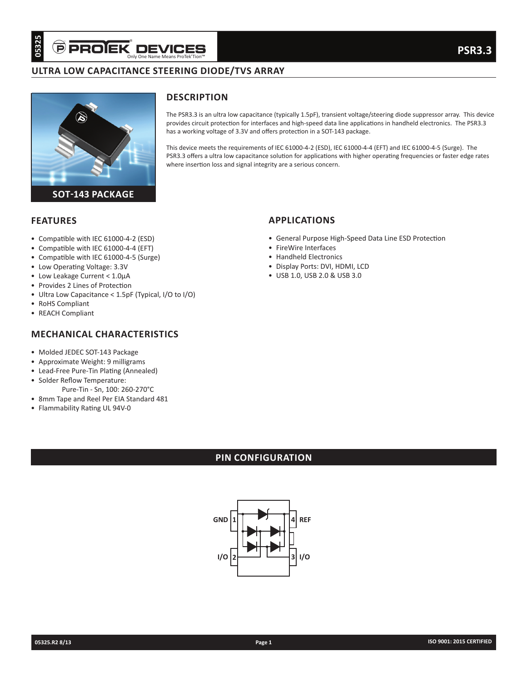# **ULTRA LOW CAPACITANCE STEERING DIODE/TVS ARRAY**



**DESCRIPTION**

The PSR3.3 is an ultra low capacitance (typically 1.5pF), transient voltage/steering diode suppressor array. This device provides circuit protection for interfaces and high-speed data line applications in handheld electronics. The PSR3.3 has a working voltage of 3.3V and offers protection in a SOT-143 package.

This device meets the requirements of IEC 61000-4-2 (ESD), IEC 61000-4-4 (EFT) and IEC 61000-4-5 (Surge). The PSR3.3 offers a ultra low capacitance solution for applications with higher operating frequencies or faster edge rates where insertion loss and signal integrity are a serious concern.

## **FEATURES**

- Compatible with IEC 61000-4-2 (ESD)
- Compatible with IEC 61000-4-4 (EFT)
- Compatible with IEC 61000-4-5 (Surge)
- Low Operating Voltage: 3.3V
- Low Leakage Current < 1.0µA
- Provides 2 Lines of Protection
- Ultra Low Capacitance < 1.5pF (Typical, I/O to I/O)
- RoHS Compliant
- REACH Compliant

# **MECHANICAL CHARACTERISTICS**

- Molded JEDEC SOT-143 Package
- Approximate Weight: 9 milligrams
- Lead-Free Pure-Tin Plating (Annealed)
- Solder Reflow Temperature:
- Pure-Tin Sn, 100: 260-270°C
- 8mm Tape and Reel Per EIA Standard 481
- Flammability Rating UL 94V-0

# **APPLICATIONS**

- General Purpose High-Speed Data Line ESD Protection
- FireWire Interfaces
- Handheld Electronics
- Display Ports: DVI, HDMI, LCD
- USB 1.0, USB 2.0 & USB 3.0

# **PIN CONFIGURATION**

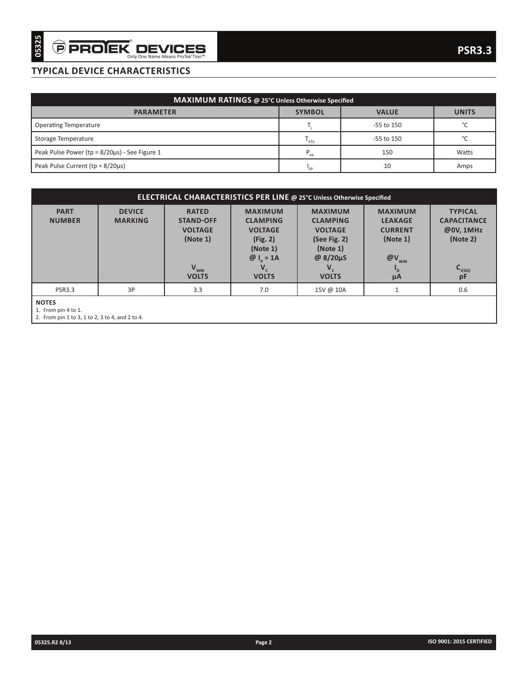## **TYPICAL DEVICE CHARACTERISTICS**

| MAXIMUM RATINGS @ 25°C Unless Otherwise Specified   |               |                |              |  |  |  |  |
|-----------------------------------------------------|---------------|----------------|--------------|--|--|--|--|
| <b>PARAMETER</b>                                    | <b>SYMBOL</b> | <b>VALUE</b>   | <b>UNITS</b> |  |  |  |  |
| <b>Operating Temperature</b>                        |               | $-55$ to $150$ | $\sim$       |  |  |  |  |
| Storage Temperature                                 | ' STG         | $-55$ to $150$ | $\sim$       |  |  |  |  |
| Peak Pulse Power (tp = $8/20\mu s$ ) - See Figure 1 | $P_{\rm pp}$  | 150            | Watts        |  |  |  |  |
| Peak Pulse Current ( $tp = 8/20\mu s$ )             | "PP           | 10             | Amps         |  |  |  |  |

| <b>TYPICAL DEVICE CHARACTERISTICS</b><br>MAXIMUM RATINGS @ 25°C Unless Otherwise Specified<br><b>SYMBOL</b><br><b>VALUE</b><br><b>PARAMETER</b><br><b>Operating Temperature</b><br>$\mathsf{T}_{\mathsf{L}}$<br>-55 to 150<br>Storage Temperature<br>-55 to 150<br>$T_{\rm STG}$<br>Peak Pulse Power (tp = 8/20µs) - See Figure 1<br>$\mathsf{P}_{\mathsf{pp}}$<br>150<br>$10\,$<br>Peak Pulse Current (tp = 8/20µs)<br>$\boldsymbol{\mathsf{I}}_{\mathsf{pp}}$<br>ELECTRICAL CHARACTERISTICS PER LINE @ 25°C Unless Otherwise Specified<br><b>DEVICE</b><br><b>PART</b><br><b>MAXIMUM</b><br><b>MAXIMUM</b><br><b>TYPICAL</b><br><b>RATED</b><br><b>MAXIMUM</b><br><b>MARKING</b><br><b>STAND-OFF</b><br><b>CLAMPING</b><br><b>NUMBER</b><br><b>CLAMPING</b><br><b>LEAKAGE</b><br><b>VOLTAGE</b><br><b>VOLTAGE</b><br><b>VOLTAGE</b><br><b>CURRENT</b><br>(Note 1)<br>(Note 1)<br>(Fig. 2)<br>(See Fig. 2)<br>(Note 1)<br>(Note 1)<br>@ 8/20µS<br>$@I_p = 1A$<br>$@V_{_{\rm WM}}$<br>$V_{WM}$<br>VOLTS<br>$V_c$<br>volts<br>$V_c$<br>$\mathsf{I}_{\mathsf{D}}$<br><b>VOLTS</b><br>$\mu A$<br>3P<br>$\mathbf{1}$<br><b>PSR3.3</b><br>3.3<br>7.0<br>15V @ 10A<br><b>NOTES</b><br>1. From pin 4 to 1.<br>2. From pin 1 to 3, 1 to 2, 3 to 4, and 2 to 4. |  | Only One Name Means ProTek'Tion™ |  | <b>PSR3.3</b>                                                                               |
|--------------------------------------------------------------------------------------------------------------------------------------------------------------------------------------------------------------------------------------------------------------------------------------------------------------------------------------------------------------------------------------------------------------------------------------------------------------------------------------------------------------------------------------------------------------------------------------------------------------------------------------------------------------------------------------------------------------------------------------------------------------------------------------------------------------------------------------------------------------------------------------------------------------------------------------------------------------------------------------------------------------------------------------------------------------------------------------------------------------------------------------------------------------------------------------------------------------------------------------------------------|--|----------------------------------|--|---------------------------------------------------------------------------------------------|
|                                                                                                                                                                                                                                                                                                                                                                                                                                                                                                                                                                                                                                                                                                                                                                                                                                                                                                                                                                                                                                                                                                                                                                                                                                                        |  |                                  |  |                                                                                             |
|                                                                                                                                                                                                                                                                                                                                                                                                                                                                                                                                                                                                                                                                                                                                                                                                                                                                                                                                                                                                                                                                                                                                                                                                                                                        |  |                                  |  |                                                                                             |
|                                                                                                                                                                                                                                                                                                                                                                                                                                                                                                                                                                                                                                                                                                                                                                                                                                                                                                                                                                                                                                                                                                                                                                                                                                                        |  |                                  |  | <b>UNITS</b>                                                                                |
|                                                                                                                                                                                                                                                                                                                                                                                                                                                                                                                                                                                                                                                                                                                                                                                                                                                                                                                                                                                                                                                                                                                                                                                                                                                        |  |                                  |  | °C                                                                                          |
|                                                                                                                                                                                                                                                                                                                                                                                                                                                                                                                                                                                                                                                                                                                                                                                                                                                                                                                                                                                                                                                                                                                                                                                                                                                        |  |                                  |  | $^{\circ}{\rm C}$                                                                           |
|                                                                                                                                                                                                                                                                                                                                                                                                                                                                                                                                                                                                                                                                                                                                                                                                                                                                                                                                                                                                                                                                                                                                                                                                                                                        |  |                                  |  | Watts                                                                                       |
|                                                                                                                                                                                                                                                                                                                                                                                                                                                                                                                                                                                                                                                                                                                                                                                                                                                                                                                                                                                                                                                                                                                                                                                                                                                        |  |                                  |  | Amps                                                                                        |
|                                                                                                                                                                                                                                                                                                                                                                                                                                                                                                                                                                                                                                                                                                                                                                                                                                                                                                                                                                                                                                                                                                                                                                                                                                                        |  |                                  |  |                                                                                             |
|                                                                                                                                                                                                                                                                                                                                                                                                                                                                                                                                                                                                                                                                                                                                                                                                                                                                                                                                                                                                                                                                                                                                                                                                                                                        |  |                                  |  |                                                                                             |
|                                                                                                                                                                                                                                                                                                                                                                                                                                                                                                                                                                                                                                                                                                                                                                                                                                                                                                                                                                                                                                                                                                                                                                                                                                                        |  |                                  |  | <b>CAPACITANCE</b><br>@0V, 1MHz<br>(Note 2)<br>$\mathbf{C}_{_{\mathsf{J}(\mathsf{SD})}}$ pF |
|                                                                                                                                                                                                                                                                                                                                                                                                                                                                                                                                                                                                                                                                                                                                                                                                                                                                                                                                                                                                                                                                                                                                                                                                                                                        |  |                                  |  | 0.6                                                                                         |
|                                                                                                                                                                                                                                                                                                                                                                                                                                                                                                                                                                                                                                                                                                                                                                                                                                                                                                                                                                                                                                                                                                                                                                                                                                                        |  |                                  |  |                                                                                             |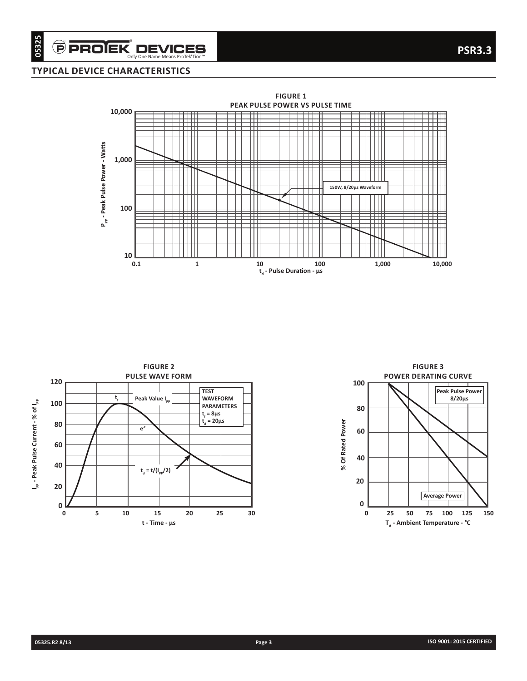## **TYPICAL DEVICE CHARACTERISTICS**





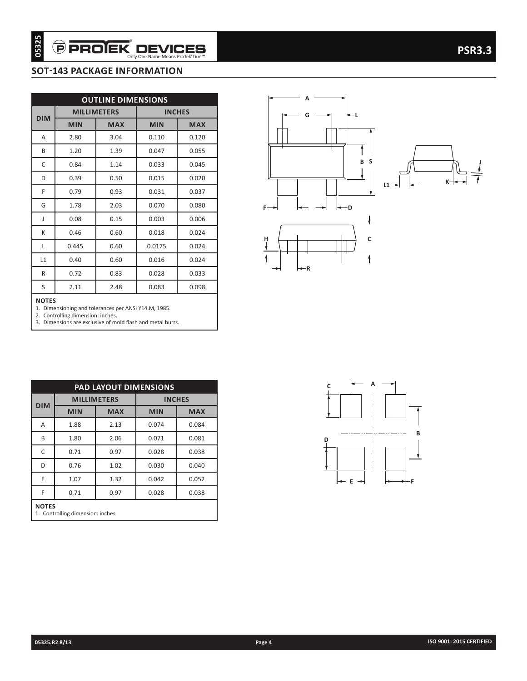## **SOT-143 PACKAGE INFORMATION**

| <b>MILLIMETERS</b><br><b>INCHES</b><br><b>MIN</b><br><b>MAX</b><br><b>MIN</b><br><b>MAX</b><br>2.80<br>3.04<br>0.110<br>0.120<br>1.20<br>1.39<br>0.047<br>0.055<br>1.14<br>0.84<br>0.033<br>0.045<br>0.39<br>0.50<br>0.015<br>0.020<br>0.79<br>0.93<br>0.037<br>0.031<br>1.78<br>2.03<br>0.070<br>0.080<br>0.15<br>0.003<br>0.006<br>0.08<br>0.46<br>0.60<br>0.018<br>0.024<br>0.445<br>0.60<br>0.0175<br>0.024<br>0.60<br>0.024<br>0.40<br>0.016<br>0.72<br>0.83<br>0.028<br>0.033<br>2.11<br>2.48<br>0.083<br>0.098<br><b>NOTES</b><br>1. Dimensioning and tolerances per ANSI Y14.M, 1985.<br>2. Controlling dimension: inches.<br>3. Dimensions are exclusive of mold flash and metal burrs.<br>PAD LAYOUT DIMENSIONS<br><b>MILLIMETERS</b><br><b>INCHES</b><br><b>MIN</b><br><b>MAX</b><br><b>MIN</b><br>1.88<br>2.13<br>0.074 |                           |      | <b>OUTLINE DIMENSIONS</b> |       |            |
|-------------------------------------------------------------------------------------------------------------------------------------------------------------------------------------------------------------------------------------------------------------------------------------------------------------------------------------------------------------------------------------------------------------------------------------------------------------------------------------------------------------------------------------------------------------------------------------------------------------------------------------------------------------------------------------------------------------------------------------------------------------------------------------------------------------------------------------|---------------------------|------|---------------------------|-------|------------|
|                                                                                                                                                                                                                                                                                                                                                                                                                                                                                                                                                                                                                                                                                                                                                                                                                                     | <b>DIM</b>                |      |                           |       |            |
|                                                                                                                                                                                                                                                                                                                                                                                                                                                                                                                                                                                                                                                                                                                                                                                                                                     | A                         |      |                           |       |            |
|                                                                                                                                                                                                                                                                                                                                                                                                                                                                                                                                                                                                                                                                                                                                                                                                                                     | B                         |      |                           |       |            |
|                                                                                                                                                                                                                                                                                                                                                                                                                                                                                                                                                                                                                                                                                                                                                                                                                                     | C                         |      |                           |       |            |
|                                                                                                                                                                                                                                                                                                                                                                                                                                                                                                                                                                                                                                                                                                                                                                                                                                     | D                         |      |                           |       |            |
|                                                                                                                                                                                                                                                                                                                                                                                                                                                                                                                                                                                                                                                                                                                                                                                                                                     | F                         |      |                           |       |            |
|                                                                                                                                                                                                                                                                                                                                                                                                                                                                                                                                                                                                                                                                                                                                                                                                                                     | G                         |      |                           |       |            |
|                                                                                                                                                                                                                                                                                                                                                                                                                                                                                                                                                                                                                                                                                                                                                                                                                                     |                           |      |                           |       |            |
|                                                                                                                                                                                                                                                                                                                                                                                                                                                                                                                                                                                                                                                                                                                                                                                                                                     | ſ                         |      |                           |       |            |
|                                                                                                                                                                                                                                                                                                                                                                                                                                                                                                                                                                                                                                                                                                                                                                                                                                     | K                         |      |                           |       |            |
|                                                                                                                                                                                                                                                                                                                                                                                                                                                                                                                                                                                                                                                                                                                                                                                                                                     | L<br>L1                   |      |                           |       |            |
|                                                                                                                                                                                                                                                                                                                                                                                                                                                                                                                                                                                                                                                                                                                                                                                                                                     |                           |      |                           |       |            |
|                                                                                                                                                                                                                                                                                                                                                                                                                                                                                                                                                                                                                                                                                                                                                                                                                                     | $\mathsf{R}$<br>S         |      |                           |       |            |
|                                                                                                                                                                                                                                                                                                                                                                                                                                                                                                                                                                                                                                                                                                                                                                                                                                     |                           |      |                           |       |            |
|                                                                                                                                                                                                                                                                                                                                                                                                                                                                                                                                                                                                                                                                                                                                                                                                                                     |                           |      |                           |       |            |
|                                                                                                                                                                                                                                                                                                                                                                                                                                                                                                                                                                                                                                                                                                                                                                                                                                     |                           |      |                           |       |            |
|                                                                                                                                                                                                                                                                                                                                                                                                                                                                                                                                                                                                                                                                                                                                                                                                                                     |                           |      |                           |       | <b>MAX</b> |
|                                                                                                                                                                                                                                                                                                                                                                                                                                                                                                                                                                                                                                                                                                                                                                                                                                     |                           |      |                           |       | 0.084      |
|                                                                                                                                                                                                                                                                                                                                                                                                                                                                                                                                                                                                                                                                                                                                                                                                                                     | <b>DIM</b><br>Α<br>В<br>C | 1.80 | 2.06                      | 0.071 | 0.081      |
|                                                                                                                                                                                                                                                                                                                                                                                                                                                                                                                                                                                                                                                                                                                                                                                                                                     |                           | 0.71 | 0.97                      | 0.028 | 0.038      |
|                                                                                                                                                                                                                                                                                                                                                                                                                                                                                                                                                                                                                                                                                                                                                                                                                                     |                           | 0.76 | 1.02                      | 0.030 | 0.040      |
| 0.97<br>0.028<br>0.038<br>0.71<br><b>NOTES</b>                                                                                                                                                                                                                                                                                                                                                                                                                                                                                                                                                                                                                                                                                                                                                                                      |                           | 1.07 | 1.32                      | 0.042 | 0.052      |





| <b>PAD LAYOUT DIMENSIONS</b>                                       |      |      |       |       |  |  |  |  |
|--------------------------------------------------------------------|------|------|-------|-------|--|--|--|--|
| <b>MILLIMETERS</b><br><b>INCHES</b>                                |      |      |       |       |  |  |  |  |
| <b>DIM</b><br><b>MIN</b><br><b>MAX</b><br><b>MIN</b><br><b>MAX</b> |      |      |       |       |  |  |  |  |
| Α                                                                  | 1.88 | 2.13 | 0.074 | 0.084 |  |  |  |  |
| B                                                                  | 1.80 | 2.06 | 0.071 | 0.081 |  |  |  |  |
| C<br>0.71<br>0.028<br>0.038<br>0.97                                |      |      |       |       |  |  |  |  |
| 0.76<br>1.02<br>0.030<br>0.040<br>D                                |      |      |       |       |  |  |  |  |
| E                                                                  | 1.07 | 1.32 | 0.042 | 0.052 |  |  |  |  |
| F<br>0.71<br>0.028<br>0.038<br>0.97                                |      |      |       |       |  |  |  |  |
| <b>NOTES</b><br>1. Controlling dimension: inches.                  |      |      |       |       |  |  |  |  |

**A B C D E F**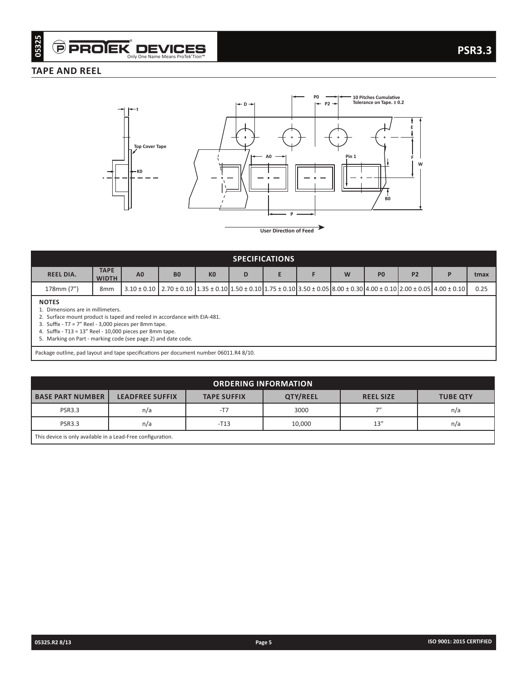## **TAPE AND REEL**



**User Direction of Feed**

| <b>SPECIFICATIONS</b>                            |                             |                |                                                                                                                                                                                   |                |   |  |  |   |                |                |  |      |
|--------------------------------------------------|-----------------------------|----------------|-----------------------------------------------------------------------------------------------------------------------------------------------------------------------------------|----------------|---|--|--|---|----------------|----------------|--|------|
| <b>REEL DIA.</b>                                 | <b>TAPE</b><br><b>WIDTH</b> | A <sub>0</sub> | B <sub>0</sub>                                                                                                                                                                    | K <sub>0</sub> | D |  |  | W | P <sub>0</sub> | P <sub>2</sub> |  | tmax |
| 178mm (7")                                       | 8 <sub>mm</sub>             |                | $3.10 \pm 0.10$   $2.70 \pm 0.10$   $1.35 \pm 0.10$   $1.50 \pm 0.10$   $1.75 \pm 0.10$   $3.50 \pm 0.05$   $8.00 \pm 0.30$   $4.00 \pm 0.10$   $2.00 \pm 0.05$   $4.00 \pm 0.10$ |                |   |  |  |   |                |                |  | 0.25 |
| <b>NOTES</b><br>. Dimensions are in millimeters. |                             |                |                                                                                                                                                                                   | .              |   |  |  |   |                |                |  |      |

2. Surface mount product is taped and reeled in accordance with EIA-481.

3. Suffix - T7 = 7" Reel - 3,000 pieces per 8mm tape.

4. Suffix - T13 = 13" Reel - 10,000 pieces per 8mm tape.

5. Marking on Part - marking code (see page 2) and date code.

Package outline, pad layout and tape specifications per document number 06011.R4 8/10.

| <b>ORDERING INFORMATION</b>                                 |                        |                    |          |                  |                 |  |  |  |
|-------------------------------------------------------------|------------------------|--------------------|----------|------------------|-----------------|--|--|--|
| <b>BASE PART NUMBER</b>                                     | <b>LEADFREE SUFFIX</b> | <b>TAPE SUFFIX</b> | QTY/REEL | <b>REEL SIZE</b> | <b>TUBE QTY</b> |  |  |  |
| 7''<br>3000<br><b>PSR3.3</b><br>$-T7$<br>n/a<br>n/a         |                        |                    |          |                  |                 |  |  |  |
| <b>PSR3.3</b>                                               | n/a                    | $-T13$             | 10,000   | 13''             | n/a             |  |  |  |
| This device is only available in a Lead-Free configuration. |                        |                    |          |                  |                 |  |  |  |